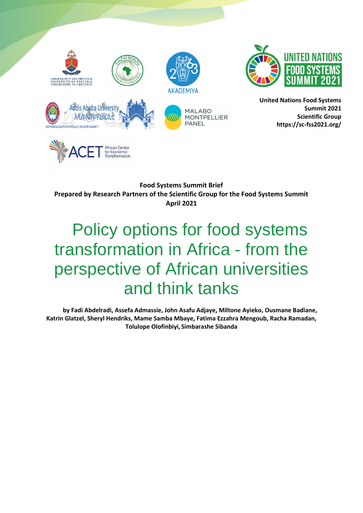



**United Nations Food Systems Summit 2021 Scientific Group https://sc-fss2021.org/** 

**Food Systems Summit Brief Prepared by Research Partners of the Scientific Group for the Food Systems Summit April 2021**

# Policy options for food systems transformation in Africa - from the perspective of African universities and think tanks

**by Fadi Abdelradi, Assefa Admassie, John Asafu Adjaye, Miltone Ayieko, Ousmane Badiane, Katrin Glatzel, Sheryl Hendriks, Mame Samba Mbaye, Fatima Ezzahra Mengoub, Racha Ramadan, Tolulope Olofinbiyi, Simbarashe Sibanda**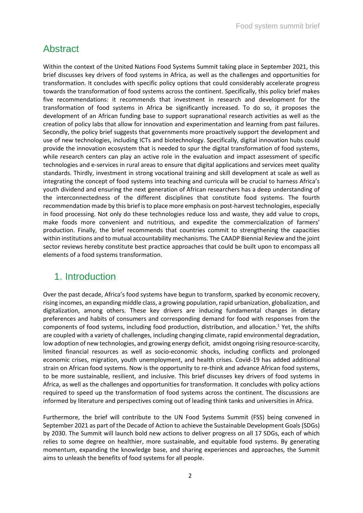# Abstract

Within the context of the United Nations Food Systems Summit taking place in September 2021, this brief discusses key drivers of food systems in Africa, as well as the challenges and opportunities for transformation. It concludes with specific policy options that could considerably accelerate progress towards the transformation of food systems across the continent. Specifically, this policy brief makes five recommendations: it recommends that investment in research and development for the transformation of food systems in Africa be significantly increased. To do so, it proposes the development of an African funding base to support supranational research activities as well as the creation of policy labs that allow for innovation and experimentation and learning from past failures. Secondly, the policy brief suggests that governments more proactively support the development and use of new technologies, including ICTs and biotechnology. Specifically, digital innovation hubs could provide the innovation ecosystem that is needed to spur the digital transformation of food systems, while research centers can play an active role in the evaluation and impact assessment of specific technologies and e-services in rural areas to ensure that digital applications and services meet quality standards. Thirdly, investment in strong vocational training and skill development at scale as well as integrating the concept of food systems into teaching and curricula will be crucial to harness Africa's youth dividend and ensuring the next generation of African researchers has a deep understanding of the interconnectedness of the different disciplines that constitute food systems. The fourth recommendation made by this brief is to place more emphasis on post-harvest technologies, especially in food processing. Not only do these technologies reduce loss and waste, they add value to crops, make foods more convenient and nutritious, and expedite the commercialization of farmers' production. Finally, the brief recommends that countries commit to strengthening the capacities within institutions and to mutual accountability mechanisms. The CAADP Biennial Review and the joint sector reviews hereby constitute best practice approaches that could be built upon to encompass all elements of a food systems transformation.

# 1. Introduction

Over the past decade, Africa's food systems have begun to transform, sparked by economic recovery, rising incomes, an expanding middle class, a growing population, rapid urbanization, globalization, and digitalization, among others. These key drivers are inducing fundamental changes in dietary preferences and habits of consumers and corresponding demand for food with responses from the components of food systems, including food production, distribution, and allocation.<sup>1</sup> Yet, the shifts are coupled with a variety of challenges, including changing climate, rapid environmental degradation, low adoption of new technologies, and growing energy deficit, amidst ongoing rising resource-scarcity, limited financial resources as well as socio-economic shocks, including conflicts and prolonged economic crises, migration, youth unemployment, and health crises. Covid-19 has added additional strain on African food systems. Now is the opportunity to re-think and advance African food systems, to be more sustainable, resilient, and inclusive. This brief discusses key drivers of food systems in Africa, as well as the challenges and opportunities for transformation. It concludes with policy actions required to speed up the transformation of food systems across the continent. The discussions are informed by literature and perspectives coming out of leading think tanks and universities in Africa.

Furthermore, the brief will contribute to the UN Food Systems Summit (FSS) being convened in September 2021 as part of the Decade of Action to achieve the Sustainable Development Goals (SDGs) by 2030. The Summit will launch bold new actions to deliver progress on all 17 SDGs, each of which relies to some degree on healthier, more sustainable, and equitable food systems. By generating momentum, expanding the knowledge base, and sharing experiences and approaches, the Summit aims to unleash the benefits of food systems for all people.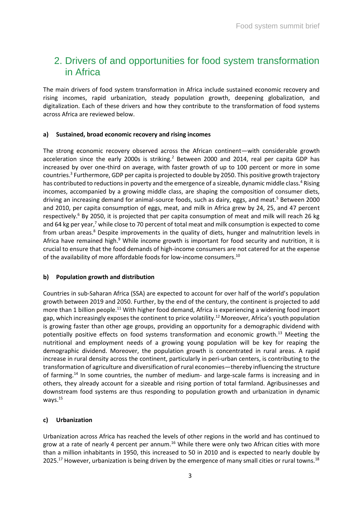# 2. Drivers of and opportunities for food system transformation in Africa

The main drivers of food system transformation in Africa include sustained economic recovery and rising incomes, rapid urbanization, steady population growth, deepening globalization, and digitalization. Each of these drivers and how they contribute to the transformation of food systems across Africa are reviewed below.

#### **a) Sustained, broad economic recovery and rising incomes**

The strong economic recovery observed across the African continent—with considerable growth acceleration since the early 2000s is striking.<sup>2</sup> Between 2000 and 2014, real per capita GDP has increased by over one-third on average, with faster growth of up to 100 percent or more in some countries.<sup>3</sup> Furthermore, GDP per capita is projected to double by 2050. This positive growth trajectory has contributed to reductions in poverty and the emergence of a sizeable, dynamic middle class.<sup>4</sup> Rising incomes, accompanied by a growing middle class, are shaping the composition of consumer diets, driving an increasing demand for animal-source foods, such as dairy, eggs, and meat.<sup>5</sup> Between 2000 and 2010, per capita consumption of eggs, meat, and milk in Africa grew by 24, 25, and 47 percent respectively.<sup>6</sup> By 2050, it is projected that per capita consumption of meat and milk will reach 26 kg and 64 kg per year,<sup>7</sup> while close to 70 percent of total meat and milk consumption is expected to come from urban areas.<sup>8</sup> Despite improvements in the quality of diets, hunger and malnutrition levels in Africa have remained high.<sup>9</sup> While income growth is important for food security and nutrition, it is crucial to ensure that the food demands of high-income consumers are not catered for at the expense of the availability of more affordable foods for low-income consumers.<sup>10</sup>

## **b) Population growth and distribution**

Countries in sub-Saharan Africa (SSA) are expected to account for over half of the world's population growth between 2019 and 2050. Further, by the end of the century, the continent is projected to add more than 1 billion people.<sup>11</sup> With higher food demand, Africa is experiencing a widening food import gap, which increasingly exposes the continent to price volatility.<sup>12</sup> Moreover, Africa's youth population is growing faster than other age groups, providing an opportunity for a demographic dividend with potentially positive effects on food systems transformation and economic growth.<sup>13</sup> Meeting the nutritional and employment needs of a growing young population will be key for reaping the demographic dividend. Moreover, the population growth is concentrated in rural areas. A rapid increase in rural density across the continent, particularly in peri-urban centers, is contributing to the transformation of agriculture and diversification of rural economies—thereby influencing the structure of farming.<sup>14</sup> In some countries, the number of medium- and large-scale farms is increasing and in others, they already account for a sizeable and rising portion of total farmland. Agribusinesses and downstream food systems are thus responding to population growth and urbanization in dynamic ways.<sup>15</sup>

## **c) Urbanization**

Urbanization across Africa has reached the levels of other regions in the world and has continued to grow at a rate of nearly 4 percent per annum.<sup>16</sup> While there were only two African cities with more than a million inhabitants in 1950, this increased to 50 in 2010 and is expected to nearly double by 2025.<sup>17</sup> However, urbanization is being driven by the emergence of many small cities or rural towns.<sup>18</sup>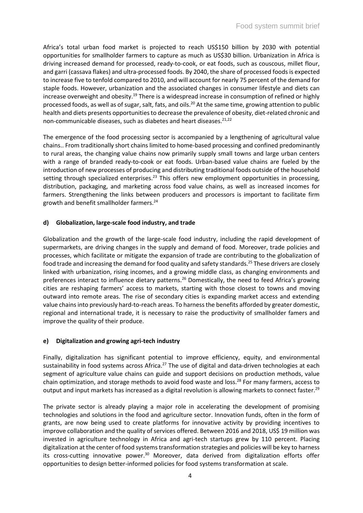Africa's total urban food market is projected to reach US\$150 billion by 2030 with potential opportunities for smallholder farmers to capture as much as US\$30 billion. Urbanization in Africa is driving increased demand for processed, ready-to-cook, or eat foods, such as couscous, millet flour, and garri (cassava flakes) and ultra-processed foods. By 2040, the share of processed foods is expected to increase five to tenfold compared to 2010, and will account for nearly 75 percent of the demand for staple foods. However, urbanization and the associated changes in consumer lifestyle and diets can increase overweight and obesity.<sup>19</sup> There is a widespread increase in consumption of refined or highly processed foods, as well as of sugar, salt, fats, and oils.<sup>20</sup> At the same time, growing attention to public health and diets presents opportunities to decrease the prevalence of obesity, diet-related chronic and non-communicable diseases, such as diabetes and heart diseases.<sup>21,22</sup>

The emergence of the food processing sector is accompanied by a lengthening of agricultural value chains.. From traditionally short chains limited to home-based processing and confined predominantly to rural areas, the changing value chains now primarily supply small towns and large urban centers with a range of branded ready-to-cook or eat foods. Urban-based value chains are fueled by the introduction of new processes of producing and distributing traditional foods outside of the household setting through specialized enterprises.<sup>23</sup> This offers new employment opportunities in processing, distribution, packaging, and marketing across food value chains, as well as increased incomes for farmers. Strengthening the links between producers and processors is important to facilitate firm growth and benefit smallholder farmers.<sup>24</sup>

### **d) Globalization, large-scale food industry, and trade**

Globalization and the growth of the large-scale food industry, including the rapid development of supermarkets, are driving changes in the supply and demand of food. Moreover, trade policies and processes, which facilitate or mitigate the expansion of trade are contributing to the globalization of food trade and increasing the demand for food quality and safety standards.<sup>25</sup> These drivers are closely linked with urbanization, rising incomes, and a growing middle class, as changing environments and preferences interact to influence dietary patterns.<sup>26</sup> Domestically, the need to feed Africa's growing cities are reshaping farmers' access to markets, starting with those closest to towns and moving outward into remote areas. The rise of secondary cities is expanding market access and extending value chains into previously hard-to-reach areas. To harness the benefits afforded by greater domestic, regional and international trade, it is necessary to raise the productivity of smallholder famers and improve the quality of their produce.

## **e) Digitalization and growing agri-tech industry**

Finally, digitalization has significant potential to improve efficiency, equity, and environmental sustainability in food systems across Africa.<sup>27</sup> The use of digital and data-driven technologies at each segment of agriculture value chains can guide and support decisions on production methods, value chain optimization, and storage methods to avoid food waste and loss.<sup>28</sup> For many farmers, access to output and input markets has increased as a digital revolution is allowing markets to connect faster.<sup>29</sup>

The private sector is already playing a major role in accelerating the development of promising technologies and solutions in the food and agriculture sector. Innovation funds, often in the form of grants, are now being used to create platforms for innovative activity by providing incentives to improve collaboration and the quality of services offered. Between 2016 and 2018, US\$ 19 million was invested in agriculture technology in Africa and agri-tech startups grew by 110 percent. Placing digitalization at the center of food systems transformation strategies and policies will be key to harness its cross-cutting innovative power. $30$  Moreover, data derived from digitalization efforts offer opportunities to design better-informed policies for food systems transformation at scale.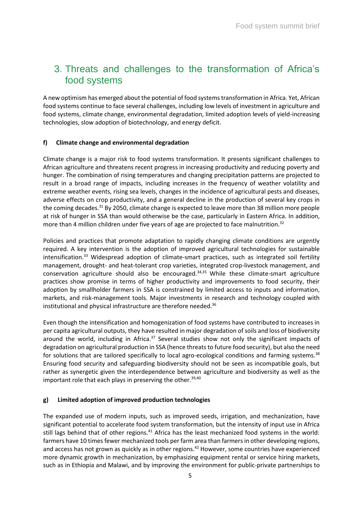# 3. Threats and challenges to the transformation of Africa's food systems

A new optimism has emerged about the potential of food systems transformation in Africa. Yet, African food systems continue to face several challenges, including low levels of investment in agriculture and food systems, climate change, environmental degradation, limited adoption levels of yield-increasing technologies, slow adoption of biotechnology, and energy deficit.

### **f) Climate change and environmental degradation**

Climate change is a major risk to food systems transformation. It presents significant challenges to African agriculture and threatens recent progress in increasing productivity and reducing poverty and hunger. The combination of rising temperatures and changing precipitation patterns are projected to result in a broad range of impacts, including increases in the frequency of weather volatility and extreme weather events, rising sea levels, changes in the incidence of agricultural pests and diseases, adverse effects on crop productivity, and a general decline in the production of several key crops in the coming decades.<sup>31</sup> By 2050, climate change is expected to leave more than 38 million more people at risk of hunger in SSA than would otherwise be the case, particularly in Eastern Africa. In addition, more than 4 million children under five years of age are projected to face malnutrition.<sup>32</sup>

Policies and practices that promote adaptation to rapidly changing climate conditions are urgently required. A key intervention is the adoption of improved agricultural technologies for sustainable intensification.<sup>33</sup> Widespread adoption of climate-smart practices, such as integrated soil fertility management, drought- and heat-tolerant crop varieties, integrated crop-livestock management, and conservation agriculture should also be encouraged.<sup>34,35</sup> While these climate-smart agriculture practices show promise in terms of higher productivity and improvements to food security, their adoption by smallholder farmers in SSA is constrained by limited access to inputs and information, markets, and risk-management tools. Major investments in research and technology coupled with institutional and physical infrastructure are therefore needed.<sup>36</sup>

Even though the intensification and homogenization of food systems have contributed to increases in per capita agricultural outputs, they have resulted in major degradation of soils and loss of biodiversity around the world, including in Africa. $37$  Several studies show not only the significant impacts of degradation on agricultural production in SSA (hence threats to future food security), but also the need for solutions that are tailored specifically to local agro-ecological conditions and farming systems.<sup>38</sup> Ensuring food security and safeguarding biodiversity should not be seen as incompatible goals, but rather as synergetic given the interdependence between agriculture and biodiversity as well as the important role that each plays in preserving the other. $39,40$ 

#### **g) Limited adoption of improved production technologies**

The expanded use of modern inputs, such as improved seeds, irrigation, and mechanization, have significant potential to accelerate food system transformation, but the intensity of input use in Africa still lags behind that of other regions.<sup>41</sup> Africa has the least mechanized food systems in the world: farmers have 10 times fewer mechanized tools per farm area than farmers in other developing regions, and access has not grown as quickly as in other regions.<sup>42</sup> However, some countries have experienced more dynamic growth in mechanization, by emphasizing equipment rental or service hiring markets, such as in Ethiopia and Malawi, and by improving the environment for public-private partnerships to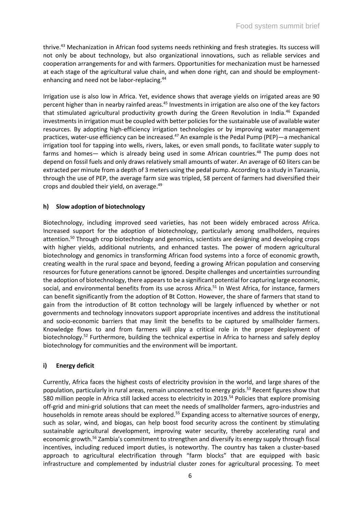thrive.<sup>43</sup> Mechanization in African food systems needs rethinking and fresh strategies. Its success will not only be about technology, but also organizational innovations, such as reliable services and cooperation arrangements for and with farmers. Opportunities for mechanization must be harnessed at each stage of the agricultural value chain, and when done right, can and should be employmentenhancing and need not be labor-replacing.<sup>44</sup>

Irrigation use is also low in Africa. Yet, evidence shows that average yields on irrigated areas are 90 percent higher than in nearby rainfed areas.<sup>45</sup> Investments in irrigation are also one of the key factors that stimulated agricultural productivity growth during the Green Revolution in India.<sup>46</sup> Expanded investments in irrigation must be coupled with better policies for the sustainable use of available water resources. By adopting high-efficiency irrigation technologies or by improving water management practices, water-use efficiency can be increased.<sup>47</sup> An example is the Pedal Pump (PEP)—a mechanical irrigation tool for tapping into wells, rivers, lakes, or even small ponds, to facilitate water supply to farms and homes— which is already being used in some African countries.<sup>48</sup> The pump does not depend on fossil fuels and only draws relatively small amounts of water. An average of 60 liters can be extracted per minute from a depth of 3 meters using the pedal pump. According to a study in Tanzania, through the use of PEP, the average farm size was tripled, 58 percent of farmers had diversified their crops and doubled their yield, on average.<sup>49</sup>

### **h) Slow adoption of biotechnology**

Biotechnology, including improved seed varieties, has not been widely embraced across Africa. Increased support for the adoption of biotechnology, particularly among smallholders, requires attention.<sup>50</sup> Through crop biotechnology and genomics, scientists are designing and developing crops with higher yields, additional nutrients, and enhanced tastes. The power of modern agricultural biotechnology and genomics in transforming African food systems into a force of economic growth, creating wealth in the rural space and beyond, feeding a growing African population and conserving resources for future generations cannot be ignored. Despite challenges and uncertainties surrounding the adoption of biotechnology, there appears to be a significant potential for capturing large economic, social, and environmental benefits from its use across Africa.<sup>51</sup> In West Africa, for instance, farmers can benefit significantly from the adoption of Bt Cotton. However, the share of farmers that stand to gain from the introduction of Bt cotton technology will be largely influenced by whether or not governments and technology innovators support appropriate incentives and address the institutional and socio-economic barriers that may limit the benefits to be captured by smallholder farmers. Knowledge flows to and from farmers will play a critical role in the proper deployment of biotechnology.<sup>52</sup> Furthermore, building the technical expertise in Africa to harness and safely deploy biotechnology for communities and the environment will be important.

## **i) Energy deficit**

Currently, Africa faces the highest costs of electricity provision in the world, and large shares of the population, particularly in rural areas, remain unconnected to energy grids.<sup>53</sup> Recent figures show that 580 million people in Africa still lacked access to electricity in 2019.<sup>54</sup> Policies that explore promising off-grid and mini-grid solutions that can meet the needs of smallholder farmers, agro-industries and households in remote areas should be explored.<sup>55</sup> Expanding access to alternative sources of energy, such as solar, wind, and biogas, can help boost food security across the continent by stimulating sustainable agricultural development, improving water security, thereby accelerating rural and economic growth.<sup>56</sup> Zambia's commitment to strengthen and diversify its energy supply through fiscal incentives, including reduced import duties, is noteworthy. The country has taken a cluster-based approach to agricultural electrification through "farm blocks" that are equipped with basic infrastructure and complemented by industrial cluster zones for agricultural processing. To meet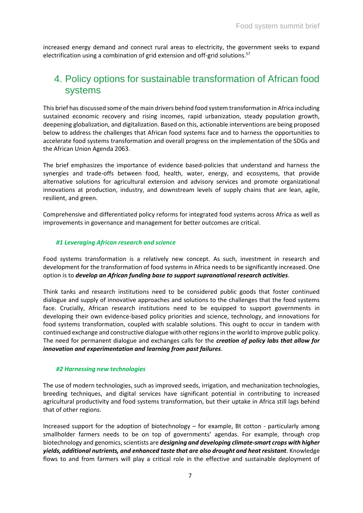increased energy demand and connect rural areas to electricity, the government seeks to expand electrification using a combination of grid extension and off-grid solutions.<sup>57</sup>

# 4. Policy options for sustainable transformation of African food systems

This brief has discussed some of the main drivers behind food system transformation in Africa including sustained economic recovery and rising incomes, rapid urbanization, steady population growth, deepening globalization, and digitalization. Based on this, actionable interventions are being proposed below to address the challenges that African food systems face and to harness the opportunities to accelerate food systems transformation and overall progress on the implementation of the SDGs and the African Union Agenda 2063.

The brief emphasizes the importance of evidence based-policies that understand and harness the synergies and trade-offs between food, health, water, energy, and ecosystems, that provide alternative solutions for agricultural extension and advisory services and promote organizational innovations at production, industry, and downstream levels of supply chains that are lean, agile, resilient, and green.

Comprehensive and differentiated policy reforms for integrated food systems across Africa as well as improvements in governance and management for better outcomes are critical.

#### *#1 Leveraging African research and science*

Food systems transformation is a relatively new concept. As such, investment in research and development for the transformation of food systems in Africa needs to be significantly increased. One option is to *develop an African funding base to support supranational research activities*.

Think tanks and research institutions need to be considered public goods that foster continued dialogue and supply of innovative approaches and solutions to the challenges that the food systems face. Crucially, African research institutions need to be equipped to support governments in developing their own evidence-based policy priorities and science, technology, and innovations for food systems transformation, coupled with scalable solutions. This ought to occur in tandem with continued exchange and constructive dialogue with other regions in the world to improve public policy. The need for permanent dialogue and exchanges calls for the *creation of policy labs that allow for innovation and experimentation and learning from past failures*.

#### *#2 Harnessing new technologies*

The use of modern technologies, such as improved seeds, irrigation, and mechanization technologies, breeding techniques, and digital services have significant potential in contributing to increased agricultural productivity and food systems transformation, but their uptake in Africa still lags behind that of other regions.

Increased support for the adoption of biotechnology – for example, Bt cotton - particularly among smallholder farmers needs to be on top of governments' agendas. For example, through crop biotechnology and genomics, scientists are *designing and developing climate-smart crops with higher yields, additional nutrients, and enhanced taste that are also drought and heat resistant*. Knowledge flows to and from farmers will play a critical role in the effective and sustainable deployment of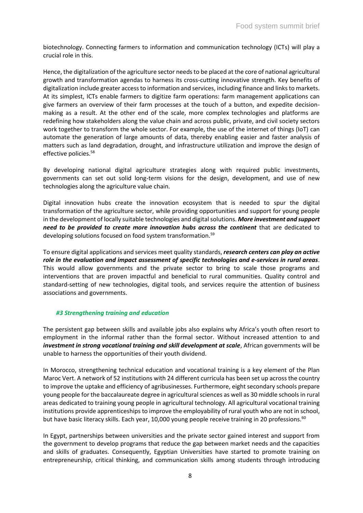biotechnology. Connecting farmers to information and communication technology (ICTs) will play a crucial role in this.

Hence, the digitalization of the agriculture sector needs to be placed at the core of national agricultural growth and transformation agendas to harness its cross-cutting innovative strength. Key benefits of digitalization include greater access to information and services, including finance and links to markets. At its simplest, ICTs enable farmers to digitize farm operations: farm management applications can give farmers an overview of their farm processes at the touch of a button, and expedite decisionmaking as a result. At the other end of the scale, more complex technologies and platforms are redefining how stakeholders along the value chain and across public, private, and civil society sectors work together to transform the whole sector. For example, the use of the internet of things (IoT) can automate the generation of large amounts of data, thereby enabling easier and faster analysis of matters such as land degradation, drought, and infrastructure utilization and improve the design of effective policies.<sup>58</sup>

By developing national digital agriculture strategies along with required public investments, governments can set out solid long-term visions for the design, development, and use of new technologies along the agriculture value chain.

Digital innovation hubs create the innovation ecosystem that is needed to spur the digital transformation of the agriculture sector, while providing opportunities and support for young people in the development of locally suitable technologies and digital solutions. *More investment and support need to be provided to create more innovation hubs across the continent* that are dedicated to developing solutions focused on food system transformation.<sup>59</sup>

To ensure digital applications and services meet quality standards, *research centers can play an active role in the evaluation and impact assessment of specific technologies and e-services in rural areas*. This would allow governments and the private sector to bring to scale those programs and interventions that are proven impactful and beneficial to rural communities. Quality control and standard-setting of new technologies, digital tools, and services require the attention of business associations and governments.

#### *#3 Strengthening training and education*

The persistent gap between skills and available jobs also explains why Africa's youth often resort to employment in the informal rather than the formal sector. Without increased attention to and *investment in strong vocational training and skill development at scale.* African governments will be unable to harness the opportunities of their youth dividend.

In Morocco, strengthening technical education and vocational training is a key element of the Plan Maroc Vert. A network of 52 institutions with 24 different curricula has been set up across the country to improve the uptake and efficiency of agribusinesses. Furthermore, eight secondary schools prepare young people for the baccalaureate degree in agricultural sciences as well as 30 middle schools in rural areas dedicated to training young people in agricultural technology. All agricultural vocational training institutions provide apprenticeships to improve the employability of rural youth who are not in school, but have basic literacy skills. Each year, 10,000 young people receive training in 20 professions.<sup>60</sup>

In Egypt, partnerships between universities and the private sector gained interest and support from the government to develop programs that reduce the gap between market needs and the capacities and skills of graduates. Consequently, Egyptian Universities have started to promote training on entrepreneurship, critical thinking, and communication skills among students through introducing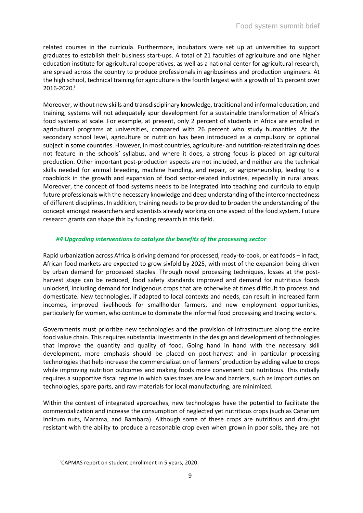related courses in the curricula. Furthermore, incubators were set up at universities to support graduates to establish their business start-ups. A total of 21 faculties of agriculture and one higher education institute for agricultural cooperatives, as well as a national center for agricultural research, are spread across the country to produce professionals in agribusiness and production engineers. At the high school, technical training for agriculture is the fourth largest with a growth of 15 percent over  $2016 - 2020$ .

Moreover, without new skills and transdisciplinary knowledge, traditional and informal education, and training, systems will not adequately spur development for a sustainable transformation of Africa's food systems at scale. For example, at present, only 2 percent of students in Africa are enrolled in agricultural programs at universities, compared with 26 percent who study humanities. At the secondary school level, agriculture or nutrition has been introduced as a compulsory or optional subject in some countries. However, in most countries, agriculture- and nutrition-related training does not feature in the schools' syllabus, and where it does, a strong focus is placed on agricultural production. Other important post-production aspects are not included, and neither are the technical skills needed for animal breeding, machine handling, and repair, or agripreneurship, leading to a roadblock in the growth and expansion of food sector-related industries, especially in rural areas. Moreover, the concept of food systems needs to be integrated into teaching and curricula to equip future professionals with the necessary knowledge and deep understanding of the interconnectedness of different disciplines. In addition, training needs to be provided to broaden the understanding of the concept amongst researchers and scientists already working on one aspect of the food system. Future research grants can shape this by funding research in this field.

#### *#4 Upgrading interventions to catalyze the benefits of the processing sector*

Rapid urbanization across Africa is driving demand for processed, ready-to-cook, or eat foods – in fact, African food markets are expected to grow sixfold by 2025, with most of the expansion being driven by urban demand for processed staples. Through novel processing techniques, losses at the postharvest stage can be reduced, food safety standards improved and demand for nutritious foods unlocked, including demand for indigenous crops that are otherwise at times difficult to process and domesticate. New technologies, if adapted to local contexts and needs, can result in increased farm incomes, improved livelihoods for smallholder farmers, and new employment opportunities, particularly for women, who continue to dominate the informal food processing and trading sectors.

Governments must prioritize new technologies and the provision of infrastructure along the entire food value chain. This requires substantial investments in the design and development of technologies that improve the quantity and quality of food. Going hand in hand with the necessary skill development, more emphasis should be placed on post-harvest and in particular processing technologies that help increase the commercialization of farmers' production by adding value to crops while improving nutrition outcomes and making foods more convenient but nutritious. This initially requires a supportive fiscal regime in which sales taxes are low and barriers, such as import duties on technologies, spare parts, and raw materials for local manufacturing, are minimized.

Within the context of integrated approaches, new technologies have the potential to facilitate the commercialization and increase the consumption of neglected yet nutritious crops (such as Canarium Indicum nuts, Marama, and Bambara). Although some of these crops are nutritious and drought resistant with the ability to produce a reasonable crop even when grown in poor soils, they are not

iCAPMAS report on student enrollment in 5 years, 2020.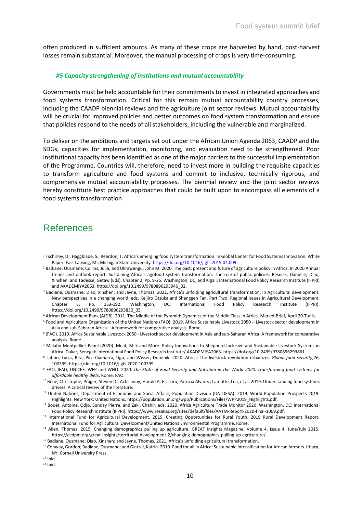often produced in sufficient amounts. As many of these crops are harvested by hand, post-harvest losses remain substantial. Moreover, the manual processing of crops is very time-consuming.

#### *#5 Capacity strengthening of institutions and mutual accountability*

Governments must be held accountable for their commitments to invest in integrated approaches and food systems transformation. Critical for this remain mutual accountability country processes, including the CAADP biennial reviews and the agriculture joint sector reviews. Mutual accountability will be crucial for improved policies and better outcomes on food system transformation and ensure that policies respond to the needs of all stakeholders, including the vulnerable and marginalized.

To deliver on the ambitions and targets set out under the African Union Agenda 2063, CAADP and the SDGs, capacities for implementation, monitoring, and evaluation need to be strengthened. Poor institutional capacity has been identified as one of the major barriers to the successful implementation of the Programme. Countries will, therefore, need to invest more in building the requisite capacities to transform agriculture and food systems and commit to inclusive, technically rigorous, and comprehensive mutual accountability processes. The biennial review and the joint sector reviews hereby constitute best practice approaches that could be built upon to encompass all elements of a food systems transformation

## References

- <sup>1</sup> Tschirley, D.; Haggblade, S.; Reardon, T. Africa's emerging food system transformation. In Global Center for Food Systems Innovation. White Paper. East Lansing, MI: Michigan State University[. https://doi.org/10.1016/j.gfs.2019.04.009](https://doi.org/10.1016/j.gfs.2019.04.009)
- <sup>2</sup> Badiane, Ousmane; Collins, Julia; and Ulimwengu, John M. 2020. The past, present and future of agriculture policy in Africa. In 2020 Annual trends and outlook report: Sustaining Africa's agrifood system transformation: The role of public policies. Resnick, Danielle; Diao, Xinshen; and Tadesse, Getaw (Eds). Chapter 2, Pp. 9-25. Washington, DC, and Kigali: International Food Policy Research Institute (IFPRI) and AKADEMIYA2063. https://doi.org/10.2499/9780896293946\_02.
- <sup>3</sup> Badiane, Ousmane; Diao, Xinshen; and Jayne, Thomas. 2021. Africa's unfolding agricultural transformation. In Agricultural development: New perspectives in a changing world, eds. Keijiro Otsuka and Shenggen Fan. Part Two: Regional Issues in Agricultural Development, Chapter 5, Pp. 153-192. Washington, DC: International Food Policy Research Institute (IFPRI). https://doi.org/10.2499/9780896293830\_05.
- <sup>4</sup> African Development Bank (AfDB). 2011. The Middle of the Pyramid: Dynamics of the Middle Class in Africa. Market Brief, April 20.Tunis.
- <sup>5</sup> Food and Agriculture Organization of the United Nations (FAO),.2019. Africa Sustainable Livestock 2050 Livestock sector development in Asia and sub-Saharan Africa – A framework for comparative analysis. Rome.
- 6 (FAO). 2019. Africa Sustainable Livestock 2050 Livestock sector development in Asia and sub-Saharan Africa: A framework for comparative analysis. Rome.
- <sup>7</sup> Malabo Montpellier Panel (2020). Meat, Milk and More: Policy Innovations to Shepherd Inclusive and Sustainable Livestock Systems in Africa. Dakar, Senegal: International Food Policy Research Institute/ AKADEMIYA2063. https://doi.org/10.2499/9780896293861.
- <sup>8</sup> Latino, Lucia, Rita; Pica-Ciamarra, Ugo; and Wisser, Dominik. 2020. Africa: The livestock revolution urbanizes. *Global food security*,*26*, 100399. https://doi.org/10.1016/j.gfs.2020.100399.
- <sup>9</sup> FAO, IFAD, UNICEF, WFP and WHO. 2020. *The State of Food Security and Nutrition in the World 2020. Transforming food systems for affordable healthy diets*. Rome, FAO.
- <sup>10</sup> Béné, Christophe; Prager, Steven D.; Achicanoy, Harold A. E.; Toro, Patricia Alvarez; Lamotte, Lea; et al. 2019. Understanding food systems drivers: A critical review of the literature.
- <sup>11</sup> United Nations, Department of Economic and Social Affairs, Population Division (UN DESA). 2019. World Population Prospects 2019: Highlights. New York: United Nations. https://population.un.org/wpp/Publications/Files/WPP2019\_Highlights.pdf.
- <sup>12</sup> Bouët, Antoine, Odjo, Sunday Pierre, and Zaki, Chahir, eds. 2020. Africa Agriculture Trade Monitor 2020. Washington, DC: International Food Policy Research Institute (IFPRI). https://www.resakss.org/sites/default/files/AATM-Report-2020-final-1009.pdf.
- <sup>13</sup> International Fund for Agricultural Development. 2019. Creating Opportunities for Rural Youth, 2019 Rural Development Report. International Fund for Agricultural Development/United Nations Environmental Programme, Rome.
- <sup>14</sup> Allen, Thomas. 2015. Changing demographics pulling up agriculture. GREAT insights Magazine, Volume 4, Issue 4. June/July 2015. https://ecdpm.org/great-insights/territorial-development-2/changing-demographics-pulling-up-agriculture/.
- <sup>15</sup> Badiane, Ousmane; Diao, Xinshen; and Jayne, Thomas. 2021. Africa's unfolding agricultural transformation.
- <sup>16</sup> Conway, Gordon; Badiane, Ousmane; and Glatzel, Katrin. 2019. Food for all in Africa: Sustainable intensification for African farmers. Ithaca, NY: Cornell University Press.
- $17$  Ibid.
- <sup>18</sup> Ibid.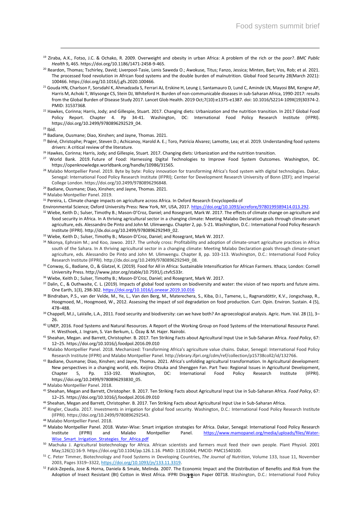- <sup>19</sup> Ziraba, A.K., Fotso, J.C. & Ochako, R. 2009. Overweight and obesity in urban Africa: A problem of the rich or the poor?. *BMC Public Health* 9**,** 465. https://doi.org/10.1186/1471-2458-9-465.
- <sup>20</sup> Reardon, Thomas; Tschirley, David; Liverpool-Tasie, Lenis Saweda O.; Awokuse, Titus; Fanzo, Jessica; Minten, Bart; Vos, Rob; et al. 2021. The processed food revolution in African food systems and the double burden of malnutrition. Global Food Security 28(March 2021): 100466. https://doi.org/10.1016/j.gfs.2020.100466.
- <sup>21</sup> Gouda HN, Charlson F, Sorsdahl K, Ahmadzada S, Ferrari AJ, Erskine H, Leung J, Santamauro D, Lund C, Aminde LN, Mayosi BM, Kengne AP, Harris M, Achoki T, Wiysonge CS, Stein DJ, Whiteford H. Burden of non-communicable diseases in sub-Saharan Africa, 1990-2017: results from the Global Burden of Disease Study 2017. Lancet Glob Health. 2019 Oct;7(10):e1375-e1387. doi: 10.1016/S2214-109X(19)30374-2. PMID: 31537368.
- <sup>22</sup> Hawkes, Corinna; Harris, Jody; and Gillespie, Stuart. 2017. Changing diets: Urbanization and the nutrition transition. In 2017 Global Food Policy Report. Chapter 4. Pp 34-41. Washington, DC: International Food Policy Research Institute (IFPRI). https://doi.org/10.2499/9780896292529\_04.

 $23$  Ibid.

- <sup>24</sup> Badiane, Ousmane; Diao, Xinshen; and Jayne, Thomas. 2021.
- <sup>25</sup> Béné, Christophe; Prager, Steven D.; Achicanoy, Harold A. E.; Toro, Patricia Alvarez; Lamotte, Lea; et al. 2019. Understanding food systems drivers: A critical review of the literature.
- <sup>26</sup> Hawkes, Corinna; Harris, Jody; and Gillespie, Stuart. 2017. Changing diets: Urbanization and the nutrition transition.
- <sup>27</sup> World Bank. 2019. Future of Food: Harnessing Digital Technologies to Improve Food System Outcomes. Washington, DC. https://openknowledge.worldbank.org/handle/10986/31565.
- <sup>28</sup> Malabo Montpellier Panel. 2019. Byte by byte: Policy innovation for transforming Africa's food system with digital technologies. Dakar, Senegal: International Food Policy Research Institute (IFPRI); Center for Development Research University of Bonn (ZEF); and Imperial College London. https://doi.org/10.2499/9780896296848.
- <sup>29</sup> Badiane, Ousmane; Diao, Xinshen; and Jayne, Thomas. 2021.
- <sup>30</sup> Malabo Montpellier Panel. 2019.
- 31 Pereira, L. Climate change impacts on agriculture across Africa. In Oxford Research Encyclopedia of
- Environmental Science; Oxford University Press: New York, NY, USA, 2017[. https://doi.org/10.1093/acrefore/9780199389414.013.292.](https://doi.org/10.1093/acrefore/9780199389414.013.292)
- 32 Wiebe, Keith D.; Sulser, Timothy B.; Mason-D'Croz, Daniel; and Rosegrant, Mark W. 2017. The effects of climate change on agriculture and food security in Africa. In A thriving agricultural sector in a changing climate: Meeting Malabo Declaration goals through climate-smart agriculture, eds. Alessandro De Pinto and John M. Ulimwengu. Chapter 2, pp. 5-21. Washington, D.C.: International Food Policy Research Institute (IFPRI). http://dx.doi.org/10.2499/9780896292949\_02.
- <sup>33</sup> Wiebe, Keith D.; Sulser, Timothy B.; Mason-D'Croz, Daniel; and Rosegrant, Mark W. 2017.
- 34 Nkonya, Ephraim M.; and Koo, Jawoo. 2017. The unholy cross: Profitability and adoption of climate-smart agriculture practices in Africa south of the Sahara. In A thriving agricultural sector in a changing climate: Meeting Malabo Declaration goals through climate-smart agriculture, eds. Alessandro De Pinto and John M. Ulimwengu. Chapter 8, pp. 103-113. Washington, D.C.: International Food Policy Research Institute (IFPRI). http://dx.doi.org/10.2499/9780896292949\_08.
- 35 Conway, G., Badiane, O., & Glatzel, K. (2019). Food for All in Africa: Sustainable Intensification for African Farmers. Ithaca; London: Cornell University Press. http://www.jstor.org/stable/10.7591/j.ctvfc533r.
- <sup>36</sup> Wiebe, Keith D.; Sulser, Timothy B.; Mason-D'Croz, Daniel; and Rosegrant, Mark W. 2017.
- 37 Dalin, C., & Outhwaite, C. L. (2019). Impacts of global food systems on biodiversity and water: the vision of two reports and future aims. One Earth, 1(3), 298-302[. https://doi.org/10.1016/j.oneear.2019.10.016](https://doi.org/10.1016/j.oneear.2019.10.016)
- 38 Bindraban, P.S., van der Velde, M., Ye, L., Van den Berg, M., Materechera, S., Kiba, D.I., Tamene, L., Ragnarsdóttir, K.V., Jongschaap, R., Hoogmoed, M., Hoogmoed, W., 2012. Assessing the impact of soil degradation on food production. Curr. Opin. Environ. Sustain. 4 (5), 478–488.
- <sup>39</sup> Chappell, M.J., LaValle, L.A., 2011. Food security and biodiversity: can we have both? An agroecological analysis. Agric. Hum. Val. 28 (1), 3-26.
- <sup>40</sup> UNEP, 2016. Food Systems and Natural Resources. A Report of the Working Group on Food Systems of the International Resource Panel. H. Westhoek, J. Ingram, S. Van Berkum, L. Özay & M. Hajer. Nairobi.
- <sup>41</sup> Sheahan, Megan. and Barrett, Christopher. B. 2017. Ten Striking Facts about Agricultural Input Use in Sub-Saharan Africa. *Food Policy*, 67: 12–25[. https://doi.org/10.1016/j.foodpol.2016.09.010](https://doi.org/10.1016/j.foodpol.2016.09.010)
- <sup>42</sup> Malabo Montpellier Panel. 2018. Mechanized: Transforming Africa's agriculture value chains. Dakar, Senegal: International Food Policy Research Institute (IFPRI) and Malabo Montpellier Panel. http://ebrary.ifpri.org/cdm/ref/collection/p15738coll2/id/132766.
- 43 Badiane, Ousmane; Diao, Xinshen; and Jayne, Thomas. 2021. Africa's unfolding agricultural transformation. In Agricultural development: New perspectives in a changing world, eds. Keijiro Otsuka and Shenggen Fan. Part Two: Regional Issues in Agricultural Development, Chapter 5, Pp. 153-192. Washington, DC: International Food Policy Research Institute (IFPRI). https://doi.org/10.2499/9780896293830\_05.
- <sup>44</sup> Malabo Montpellier Panel. 2018.
- <sup>45</sup> Sheahan, Megan and Barrett, Christopher. B. 2017. Ten Striking Facts about Agricultural Input Use in Sub-Saharan Africa. *Food Policy*, 67: 12–25[. https://doi.org/10.1016/j.foodpol.2016.09.010](https://doi.org/10.1016/j.foodpol.2016.09.010)
- <sup>46</sup> Sheahan, Megan and Barrett, Christopher. B. 2017. Ten Striking Facts about Agricultural Input Use in Sub-Saharan Africa.
- <sup>47</sup> Ringler, Claudia. 2017. Investments in irrigation for global food security. Washington, D.C.: International Food Policy Research Institute (IFPRI). https://doi.org/10.2499/9780896292543.
- <sup>48</sup> Malabo Montpellier Panel. 2018.
- <sup>49</sup> Malabo Montpellier Panel. 2018. Water-Wise: Smart irrigation strategies for Africa. Dakar, Senegal: International Food Policy Research Institute (IFPRI) and Malabo Montpellier Panel. [https://www.mamopanel.org/media/uploads/files/Water-](https://www.mamopanel.org/media/uploads/files/Water-Wise_Smart_Irrigation_Strategies_for_Africa.pdf)Wise Smart Irrigation Strategies for Africa.pdf
- <sup>50</sup> Machuka J. Agricultural biotechnology for Africa. African scientists and farmers must feed their own people. Plant Physiol. 2001 May;126(1):16-9. https://doi.org/10.1104/pp.126.1.16. PMID: 11351064; PMCID: PMC1540100.
- <sup>51</sup> C. Peter Timmer, Biotechnology and Food Systems in Developing Countries, *The Journal of Nutrition*, Volume 133, Issue 11, November 2003, Pages 3319–3322, [https://doi.org/10.1093/jn/133.11.3319.](https://doi.org/10.1093/jn/133.11.3319)
- Adoption of Insect Resistant (Bt) Cotton in West Africa. IFPRI Disc**us**sion Paper 00718. Washington, D.C.: International Food Policy 52 Falck-Zepeda, Jose & Horna, Daniela & Smale, Melinda. 2007. The Economic Impact and the Distribution of Benefits and Risk from the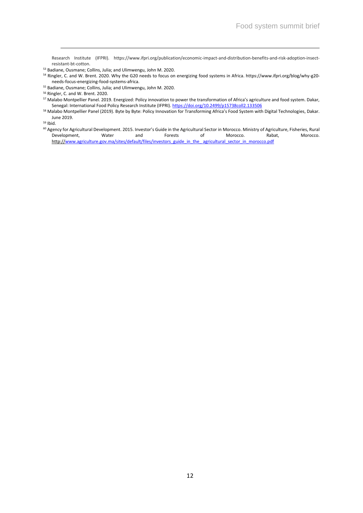Research Institute (IFPRI). https://www.ifpri.org/publication/economic-impact-and-distribution-benefits-and-risk-adoption-insectresistant-bt-cotton.

- <sup>54</sup> Ringler, C. and W. Brent. 2020. Why the G20 needs to focus on energizing food systems in Africa. https://www.ifpri.org/blog/why-g20 needs-focus-energizing-food-systems-africa.
- <sup>55</sup> Badiane, Ousmane; Collins, Julia; and Ulimwengu, John M. 2020.

- <sup>57</sup> Malabo Montpellier Panel. 2019. Energized: Policy innovation to power the transformation of Africa's agriculture and food system. Dakar, Senegal: International Food Policy Research Institute (IFPRI).<https://doi.org/10.2499/p15738coll2.133506>
- 58 Malabo Montpellier Panel (2019). Byte by Byte: Policy Innovation for Transforming Africa's Food System with Digital Technologies, Dakar. June 2019.

<sup>59</sup> Ibid.

<sup>60</sup> Agency for Agricultural Development. 2015. Investor's Guide in the Agricultural Sector in Morocco. Ministry of Agriculture, Fisheries, Rural Development, Water and Forests of Morocco. Rabat, Morocco. http://www.agriculture.gov.ma/sites/default/files/investors\_guide\_in\_the\_ agricultural\_sector\_in\_morocco.pdf

<sup>53</sup> Badiane, Ousmane; Collins, Julia; and Ulimwengu, John M. 2020.

<sup>56</sup> Ringler, C. and W. Brent. 2020.